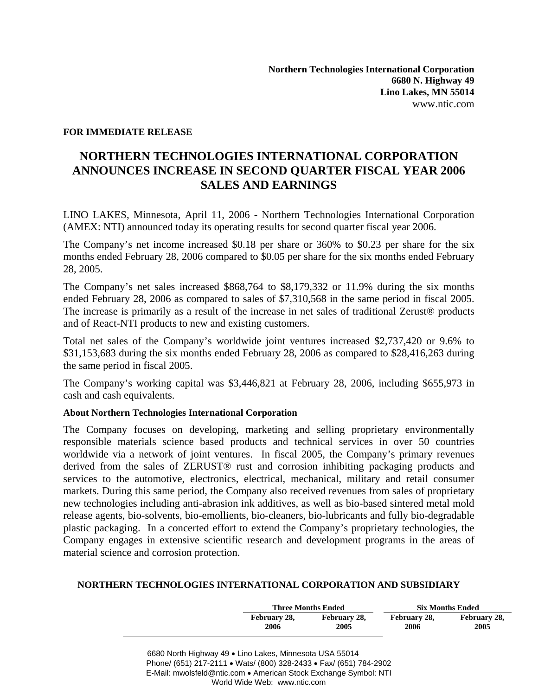## **FOR IMMEDIATE RELEASE**

## **NORTHERN TECHNOLOGIES INTERNATIONAL CORPORATION ANNOUNCES INCREASE IN SECOND QUARTER FISCAL YEAR 2006 SALES AND EARNINGS**

LINO LAKES, Minnesota, April 11, 2006 - Northern Technologies International Corporation (AMEX: NTI) announced today its operating results for second quarter fiscal year 2006.

The Company's net income increased \$0.18 per share or 360% to \$0.23 per share for the six months ended February 28, 2006 compared to \$0.05 per share for the six months ended February 28, 2005.

The Company's net sales increased \$868,764 to \$8,179,332 or 11.9% during the six months ended February 28, 2006 as compared to sales of \$7,310,568 in the same period in fiscal 2005. The increase is primarily as a result of the increase in net sales of traditional Zerust<sup>®</sup> products and of React-NTI products to new and existing customers.

Total net sales of the Company's worldwide joint ventures increased \$2,737,420 or 9.6% to \$31,153,683 during the six months ended February 28, 2006 as compared to \$28,416,263 during the same period in fiscal 2005.

The Company's working capital was \$3,446,821 at February 28, 2006, including \$655,973 in cash and cash equivalents.

## **About Northern Technologies International Corporation**

The Company focuses on developing, marketing and selling proprietary environmentally responsible materials science based products and technical services in over 50 countries worldwide via a network of joint ventures. In fiscal 2005, the Company's primary revenues derived from the sales of ZERUST® rust and corrosion inhibiting packaging products and services to the automotive, electronics, electrical, mechanical, military and retail consumer markets. During this same period, the Company also received revenues from sales of proprietary new technologies including anti-abrasion ink additives, as well as bio-based sintered metal mold release agents, bio-solvents, bio-emollients, bio-cleaners, bio-lubricants and fully bio-degradable plastic packaging. In a concerted effort to extend the Company's proprietary technologies, the Company engages in extensive scientific research and development programs in the areas of material science and corrosion protection.

## **NORTHERN TECHNOLOGIES INTERNATIONAL CORPORATION AND SUBSIDIARY**

|              | <b>Three Months Ended</b> |              | <b>Six Months Ended</b> |  |
|--------------|---------------------------|--------------|-------------------------|--|
| February 28, | February 28,              | February 28, | February 28,            |  |
| 2006         | 2005                      | 2006         | 2005                    |  |

6680 North Highway 49 • Lino Lakes, Minnesota USA 55014 Phone/ (651) 217-2111 • Wats/ (800) 328-2433 • Fax/ (651) 784-2902 E-Mail: mwolsfeld@ntic.com • American Stock Exchange Symbol: NTI World Wide Web: www.ntic.com